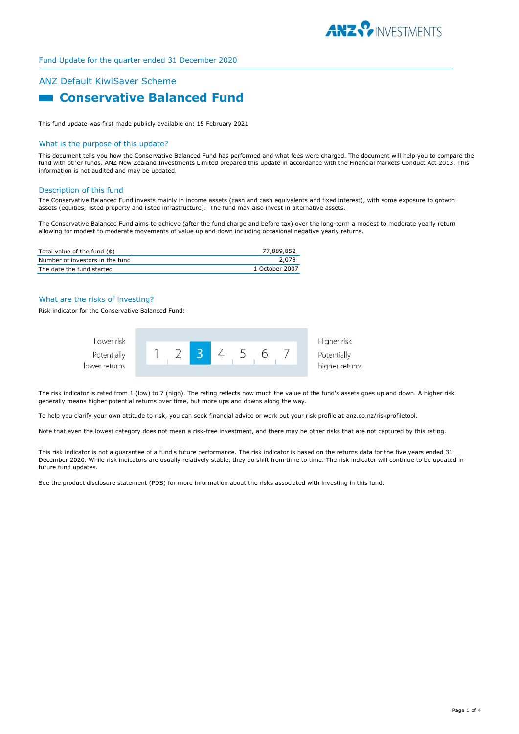

# ANZ Default KiwiSaver Scheme **Example 2 Conservative Balanced Fund**

This fund update was first made publicly available on: 15 February 2021

#### What is the purpose of this update?

This document tells you how the Conservative Balanced Fund has performed and what fees were charged. The document will help you to compare the fund with other funds. ANZ New Zealand Investments Limited prepared this update in accordance with the Financial Markets Conduct Act 2013. This information is not audited and may be updated.

#### Description of this fund

The Conservative Balanced Fund invests mainly in income assets (cash and cash equivalents and fixed interest), with some exposure to growth assets (equities, listed property and listed infrastructure). The fund may also invest in alternative assets.

The Conservative Balanced Fund aims to achieve (after the fund charge and before tax) over the long-term a modest to moderate yearly return allowing for modest to moderate movements of value up and down including occasional negative yearly returns.

| Total value of the fund (\$)    | 77.889.852     |
|---------------------------------|----------------|
| Number of investors in the fund | 2.078          |
| The date the fund started       | 1 October 2007 |

#### What are the risks of investing?

Risk indicator for the Conservative Balanced Fund:



The risk indicator is rated from 1 (low) to 7 (high). The rating reflects how much the value of the fund's assets goes up and down. A higher risk generally means higher potential returns over time, but more ups and downs along the way.

To help you clarify your own attitude to risk, you can seek financial advice or work out your risk profile at anz.co.nz/riskprofiletool.

Note that even the lowest category does not mean a risk-free investment, and there may be other risks that are not captured by this rating.

This risk indicator is not a guarantee of a fund's future performance. The risk indicator is based on the returns data for the five years ended 31 December 2020. While risk indicators are usually relatively stable, they do shift from time to time. The risk indicator will continue to be updated in future fund updates.

See the product disclosure statement (PDS) for more information about the risks associated with investing in this fund.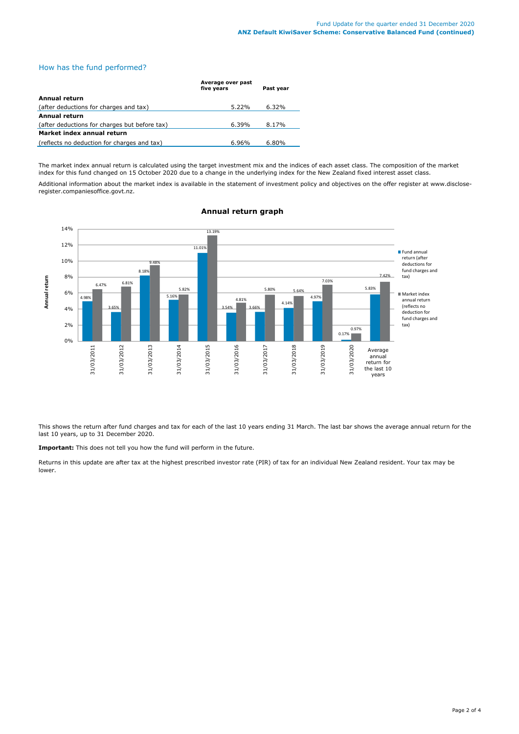## How has the fund performed?

|                                               | Average over past<br>five years | Past year |
|-----------------------------------------------|---------------------------------|-----------|
| <b>Annual return</b>                          |                                 |           |
| (after deductions for charges and tax)        | $5.22\%$                        | $6.32\%$  |
| Annual return                                 |                                 |           |
| (after deductions for charges but before tax) | $6.39\%$                        | 8.17%     |
| Market index annual return                    |                                 |           |
| (reflects no deduction for charges and tax)   | 6.96%                           | 6.80%     |

The market index annual return is calculated using the target investment mix and the indices of each asset class. The composition of the market index for this fund changed on 15 October 2020 due to a change in the underlying index for the New Zealand fixed interest asset class.

Additional information about the market index is available in the statement of investment policy and objectives on the offer register at www.discloseregister.companiesoffice.govt.nz.



# **Annual return graph**

This shows the return after fund charges and tax for each of the last 10 years ending 31 March. The last bar shows the average annual return for the last 10 years, up to 31 December 2020.

**Important:** This does not tell you how the fund will perform in the future.

Returns in this update are after tax at the highest prescribed investor rate (PIR) of tax for an individual New Zealand resident. Your tax may be lower.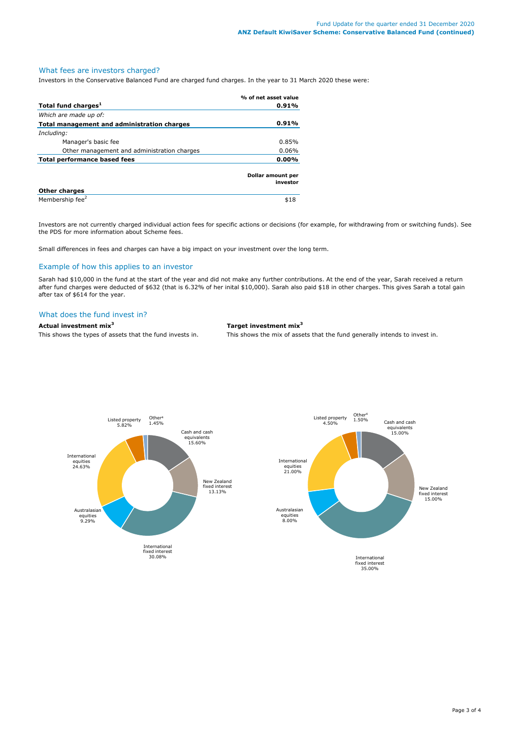# What fees are investors charged?

Investors in the Conservative Balanced Fund are charged fund charges. In the year to 31 March 2020 these were:

|                                             | % of net asset value          |
|---------------------------------------------|-------------------------------|
| Total fund charges <sup>1</sup>             | 0.91%                         |
| Which are made up of:                       |                               |
| Total management and administration charges | 0.91%                         |
| Including:                                  |                               |
| Manager's basic fee                         | 0.85%                         |
| Other management and administration charges | 0.06%                         |
| <b>Total performance based fees</b>         |                               |
|                                             | Dollar amount per<br>investor |
| <b>Other charges</b>                        |                               |
| Membership fee <sup>2</sup>                 | \$18                          |

Investors are not currently charged individual action fees for specific actions or decisions (for example, for withdrawing from or switching funds). See the PDS for more information about Scheme fees.

Small differences in fees and charges can have a big impact on your investment over the long term.

# Example of how this applies to an investor

Sarah had \$10,000 in the fund at the start of the year and did not make any further contributions. At the end of the year, Sarah received a return after fund charges were deducted of \$632 (that is 6.32% of her inital \$10,000). Sarah also paid \$18 in other charges. This gives Sarah a total gain after tax of \$614 for the year.

### What does the fund invest in?

**Actual investment mix<sup>3</sup> Target investment mix<sup>3</sup>**

This shows the types of assets that the fund invests in. This shows the mix of assets that the fund generally intends to invest in.